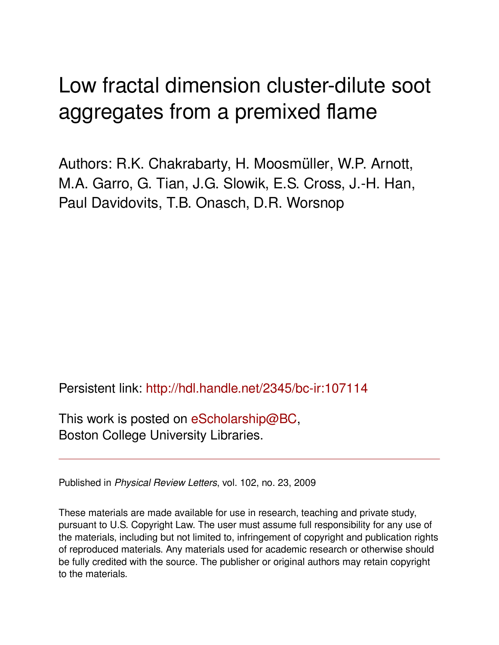## Low fractal dimension cluster-dilute soot aggregates from a premixed flame

Authors: R.K. Chakrabarty, H. Moosmüller, W.P. Arnott, M.A. Garro, G. Tian, J.G. Slowik, E.S. Cross, J.-H. Han, Paul Davidovits, T.B. Onasch, D.R. Worsnop

Persistent link: <http://hdl.handle.net/2345/bc-ir:107114>

This work is posted on [eScholarship@BC](http://escholarship.bc.edu), Boston College University Libraries.

Published in *Physical Review Letters*, vol. 102, no. 23, 2009

These materials are made available for use in research, teaching and private study, pursuant to U.S. Copyright Law. The user must assume full responsibility for any use of the materials, including but not limited to, infringement of copyright and publication rights of reproduced materials. Any materials used for academic research or otherwise should be fully credited with the source. The publisher or original authors may retain copyright to the materials.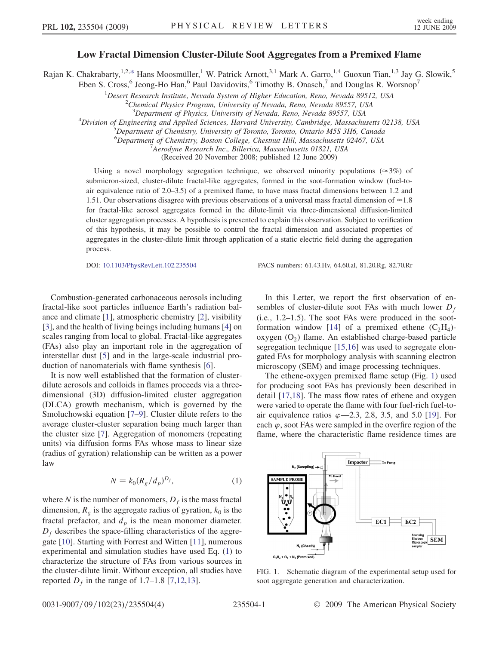## Low Fractal Dimension Cluster-Dilute Soot Aggregates from a Premixed Flame

<span id="page-1-2"></span>Rajan K. Chakrabarty,<sup>1,2,[\\*](#page-4-0)</sup> Hans Moosmüller,<sup>1</sup> W. Patrick Arnott,<sup>3,1</sup> Mark A. Garro,<sup>1,4</sup> Guoxun Tian,<sup>1,3</sup> Jay G. Slowik,<sup>5</sup>

Eben S. Cross,<sup>6</sup> Jeong-Ho Han,<sup>6</sup> Paul Davidovits,<sup>6</sup> Timothy B. Onasch,<sup>7</sup> and Douglas R. Worsnop<sup>7</sup>

<sup>1</sup>Desert Research Institute, Nevada System of Higher Education, Reno, Nevada 89512, USA<br><sup>2</sup>Chamiaal Physics Program University of Nevada, Peno, Nevada 80557, USA

 $^{2}$ Chemical Physics Program, University of Nevada, Reno, Nevada 89557, USA

 $^4$ Division of Engineering and Applied Sciences, Harvard University, Cambridge, Massachusetts 02138, USA

 ${}^{5}$ Department of Chemistry, University of Toronto, Toronto, Ontario M5S 3H6, Canada

<sup>6</sup>Department of Chemistry, Boston College, Chestnut Hill, Massachusetts 02467, USA<br><sup>7</sup>Aerodyne Besearch Inc., Billarica, Massachusetts 01821, USA <sup>7</sup> Aerodyne Research Inc., Billerica, Massachusetts 01821, USA

(Received 20 November 2008; published 12 June 2009)

Using a novel morphology segregation technique, we observed minority populations ( $\approx 3\%$ ) of submicron-sized, cluster-dilute fractal-like aggregates, formed in the soot-formation window (fuel-toair equivalence ratio of 2.0–3.5) of a premixed flame, to have mass fractal dimensions between 1.2 and 1.51. Our observations disagree with previous observations of a universal mass fractal dimension of  $\approx$  1.8 for fractal-like aerosol aggregates formed in the dilute-limit via three-dimensional diffusion-limited cluster aggregation processes. A hypothesis is presented to explain this observation. Subject to verification of this hypothesis, it may be possible to control the fractal dimension and associated properties of aggregates in the cluster-dilute limit through application of a static electric field during the aggregation process.

DOI: [10.1103/PhysRevLett.102.235504](http://dx.doi.org/10.1103/PhysRevLett.102.235504) PACS numbers: 61.43.Hv, 64.60.al, 81.20.Rg, 82.70.Rr

Combustion-generated carbonaceous aerosols including fractal-like soot particles influence Earth's radiation balance and climate [\[1\]](#page-4-1), atmospheric chemistry [\[2\]](#page-4-2), visibility [\[3\]](#page-4-3), and the health of living beings including humans [[4\]](#page-4-4) on scales ranging from local to global. Fractal-like aggregates (FAs) also play an important role in the aggregation of interstellar dust [[5](#page-4-5)] and in the large-scale industrial production of nanomaterials with flame synthesis [[6](#page-4-6)].

It is now well established that the formation of clusterdilute aerosols and colloids in flames proceeds via a threedimensional (3D) diffusion-limited cluster aggregation (DLCA) growth mechanism, which is governed by the Smoluchowski equation [\[7](#page-4-7)[–9\]](#page-4-8). Cluster dilute refers to the average cluster-cluster separation being much larger than the cluster size [\[7\]](#page-4-7). Aggregation of monomers (repeating units) via diffusion forms FAs whose mass to linear size (radius of gyration) relationship can be written as a power law

$$
N = k_0 (R_g/d_p)^{D_f},\tag{1}
$$

<span id="page-1-0"></span>where N is the number of monomers,  $D_f$  is the mass fractal dimension,  $R_g$  is the aggregate radius of gyration,  $k_0$  is the fractal prefactor, and  $d_p$  is the mean monomer diameter.  $D_f$  describes the space-filling characteristics of the aggregate [[10](#page-4-9)]. Starting with Forrest and Witten [[11](#page-4-10)], numerous experimental and simulation studies have used Eq. ([1\)](#page-1-0) to characterize the structure of FAs from various sources in the cluster-dilute limit. Without exception, all studies have reported  $D_f$  in the range of 1.[7](#page-4-7)–1.8 [7[,12](#page-4-11)[,13\]](#page-4-12).

In this Letter, we report the first observation of ensembles of cluster-dilute soot FAs with much lower  $D_f$ (i.e., 1.2–1.5). The soot FAs were produced in the soot-formation window [\[14\]](#page-4-13) of a premixed ethene  $(C_2H_4)$ oxygen  $(O_2)$  flame. An established charge-based particle segregation technique [\[15,](#page-4-14)[16\]](#page-4-15) was used to segregate elongated FAs for morphology analysis with scanning electron microscopy (SEM) and image processing techniques.

The ethene-oxygen premixed flame setup (Fig. [1\)](#page-1-1) used for producing soot FAs has previously been described in detail [\[17](#page-4-16)[,18\]](#page-4-17). The mass flow rates of ethene and oxygen were varied to operate the flame with four fuel-rich fuel-toair equivalence ratios  $\varphi$ —2.3, 2.8, 3.5, and 5.0 [\[19\]](#page-4-18). For each  $\varphi$ , soot FAs were sampled in the overfire region of the flame, where the characteristic flame residence times are

<span id="page-1-1"></span>

FIG. 1. Schematic diagram of the experimental setup used for soot aggregate generation and characterization.

<sup>&</sup>lt;sup>3</sup>Department of Physics, University of Nevada, Reno, Nevada 89557, USA<br><sup>4</sup>Division of Engineering and Applied Sciences, Harvard University, Cambridge, Massachu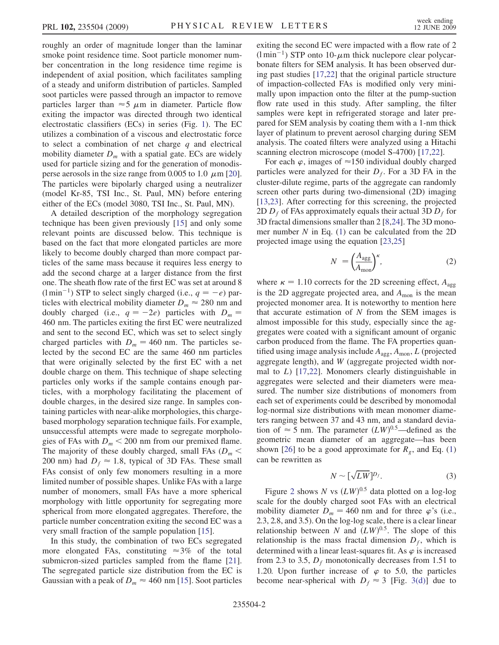roughly an order of magnitude longer than the laminar smoke point residence time. Soot particle monomer number concentration in the long residence time regime is independent of axial position, which facilitates sampling of a steady and uniform distribution of particles. Sampled soot particles were passed through an impactor to remove particles larger than  $\approx$  5  $\mu$ m in diameter. Particle flow exiting the impactor was directed through two identical electrostatic classifiers (ECs) in series (Fig. [1](#page-1-1)). The EC utilizes a combination of a viscous and electrostatic force to select a combination of net charge  $q$  and electrical mobility diameter  $D_m$  with a spatial gate. ECs are widely used for particle sizing and for the generation of monodisperse aerosols in the size range from 0.005 to 1.0  $\mu$ m [[20\]](#page-4-19). The particles were bipolarly charged using a neutralizer (model Kr-85, TSI Inc., St. Paul, MN) before entering either of the ECs (model 3080, TSI Inc., St. Paul, MN).

A detailed description of the morphology segregation technique has been given previously [[15](#page-4-14)] and only some relevant points are discussed below. This technique is based on the fact that more elongated particles are more likely to become doubly charged than more compact particles of the same mass because it requires less energy to add the second charge at a larger distance from the first one. The sheath flow rate of the first EC was set at around 8 (l min<sup>-1</sup>) STP to select singly charged (i.e.,  $q = -e$ ) par-<br>ticles with electrical mobility diameter  $D \approx 280$  nm and ticles with electrical mobility diameter  $D_m \approx 280$  nm and doubly charged (i.e.,  $q = -2e$ ) particles with  $D_m = 460$  nm. The particles exiting the first EC were neutralized 460 nm. The particles exiting the first EC were neutralized and sent to the second EC, which was set to select singly charged particles with  $D_m = 460$  nm. The particles selected by the second EC are the same 460 nm particles that were originally selected by the first EC with a net double charge on them. This technique of shape selecting particles only works if the sample contains enough particles, with a morphology facilitating the placement of double charges, in the desired size range. In samples containing particles with near-alike morphologies, this chargebased morphology separation technique fails. For example, unsuccessful attempts were made to segregate morphologies of FAs with  $D_m < 200$  nm from our premixed flame. The majority of these doubly charged, small FAs ( $D_m$  < 200 nm) had  $D_f \approx 1.8$ , typical of 3D FAs. These small FAs consist of only few monomers resulting in a more limited number of possible shapes. Unlike FAs with a large number of monomers, small FAs have a more spherical morphology with little opportunity for segregating more spherical from more elongated aggregates. Therefore, the particle number concentration exiting the second EC was a very small fraction of the sample population [[15](#page-4-14)].

In this study, the combination of two ECs segregated more elongated FAs, constituting  $\approx 3\%$  of the total submicron-sized particles sampled from the flame [\[21\]](#page-4-20). The segregated particle size distribution from the EC is Gaussian with a peak of  $D_m \approx 460 \text{ nm}$  [\[15](#page-4-14)]. Soot particles exiting the second EC were impacted with a flow rate of 2  $(\text{I min}^{-1})$  STP onto 10- $\mu$ m thick nuclepore clear polycar-<br>bonate filters for SEM analysis. It has been observed durbonate filters for SEM analysis. It has been observed during past studies [\[17](#page-4-16)[,22\]](#page-4-21) that the original particle structure of impaction-collected FAs is modified only very minimally upon impaction onto the filter at the pump-suction flow rate used in this study. After sampling, the filter samples were kept in refrigerated storage and later prepared for SEM analysis by coating them with a 1-nm thick layer of platinum to prevent aerosol charging during SEM analysis. The coated filters were analyzed using a Hitachi scanning electron microscope (model S-4700) [\[17](#page-4-16)[,22\]](#page-4-21).

For each  $\varphi$ , images of  $\approx$ 150 individual doubly charged particles were analyzed for their  $D_f$ . For a 3D FA in the cluster-dilute regime, parts of the aggregate can randomly screen other parts during two-dimensional (2D) imaging [\[13](#page-4-12)[,23\]](#page-4-22). After correcting for this screening, the projected 2D  $D_f$  of FAs approximately equals their actual 3D  $D_f$  for 3D fractal dimensions smaller than 2 [[8](#page-4-23),[24](#page-4-24)]. The 3D monomer number  $N$  in Eq. ([1](#page-1-0)) can be calculated from the 2D projected image using the equation [\[23](#page-4-22)[,25\]](#page-4-25)

$$
N = \left(\frac{A_{\text{agg}}}{A_{\text{mon}}}\right)^{\kappa},\tag{2}
$$

where  $\kappa = 1.10$  corrects for the 2D screening effect,  $A_{\text{agg}}$ <br>is the 2D aggregate projected area, and A is the mean is the 2D aggregate projected area, and  $A_{\text{mon}}$  is the mean projected monomer area. It is noteworthy to mention here that accurate estimation of  $N$  from the SEM images is almost impossible for this study, especially since the aggregates were coated with a significant amount of organic carbon produced from the flame. The FA properties quantified using image analysis include  $A_{\text{agg}}, A_{\text{mon}}, L$  (projected aggregate length), and W (aggregate projected width normal to  $L$ ) [\[17,](#page-4-16)[22\]](#page-4-21). Monomers clearly distinguishable in aggregates were selected and their diameters were measured. The number size distributions of monomers from each set of experiments could be described by monomodal log-normal size distributions with mean monomer diameters ranging between 37 and 43 nm, and a standard deviation of  $\approx$  5 nm. The parameter  $(LW)^{0.5}$ —defined as the geometric mean diameter of an aggregate—has been geometric mean diameter of an aggregate—has been shown [[26](#page-4-26)] to be a good approximate for  $R_g$ , and Eq. [\(1\)](#page-1-0) can be rewritten as

$$
N \sim [\sqrt{LW}]^{D_f}.
$$
 (3)

Figure [2](#page-3-0) shows N vs  $(LW)^{0.5}$  data plotted on a log-log scale for the doubly charged soot FAs with an electrical mobility diameter  $D_m = 460$  nm and for three  $\varphi$ 's (i.e., 2.3, 2.8, and 3.5). On the log-log scale, there is a clear linear relationship between N and  $(LW)^{0.5}$ . The slope of this relationship is the mass fractal dimension  $D_f$ , which is determined with a linear least-squares fit. As  $\varphi$  is increased from 2.3 to 3.5,  $D_f$  monotonically decreases from 1.51 to 1.20. Upon further increase of  $\varphi$  to 5.0, the particles become near-spherical with  $D_f \approx 3$  [Fig. [3\(d\)](#page-3-1)] due to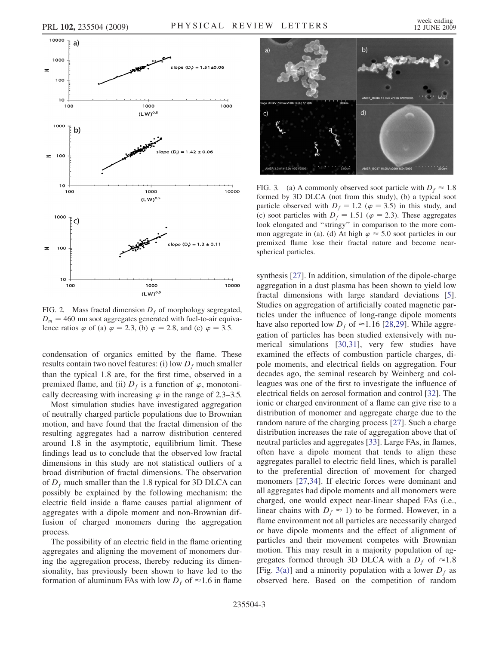<span id="page-3-0"></span>

FIG. 2. Mass fractal dimension  $D_f$  of morphology segregated,  $D_m = 460$  nm soot aggregates generated with fuel-to-air equivalence ratios  $\varphi$  of (a)  $\varphi = 2.3$ , (b)  $\varphi = 2.8$ , and (c)  $\varphi = 3.5$ .

condensation of organics emitted by the flame. These results contain two novel features: (i) low  $D_f$  much smaller than the typical 1.8 are, for the first time, observed in a premixed flame, and (ii)  $D_f$  is a function of  $\varphi$ , monotonically decreasing with increasing  $\varphi$  in the range of 2.3–3.5.

Most simulation studies have investigated aggregation of neutrally charged particle populations due to Brownian motion, and have found that the fractal dimension of the resulting aggregates had a narrow distribution centered around 1.8 in the asymptotic, equilibrium limit. These findings lead us to conclude that the observed low fractal dimensions in this study are not statistical outliers of a broad distribution of fractal dimensions. The observation of  $D_f$  much smaller than the 1.8 typical for 3D DLCA can possibly be explained by the following mechanism: the electric field inside a flame causes partial alignment of aggregates with a dipole moment and non-Brownian diffusion of charged monomers during the aggregation process.

The possibility of an electric field in the flame orienting aggregates and aligning the movement of monomers during the aggregation process, thereby reducing its dimensionality, has previously been shown to have led to the formation of aluminum FAs with low  $D_f$  of  $\approx$  1.6 in flame



<span id="page-3-1"></span>FIG. 3. (a) A commonly observed soot particle with  $D_f \approx 1.8$ formed by 3D DLCA (not from this study), (b) a typical soot particle observed with  $D_f = 1.2$  ( $\varphi = 3.5$ ) in this study, and (c) soot particles with  $D_f = 1.51$  ( $\varphi = 2.3$ ). These aggregates look elongated and ''stringy'' in comparison to the more common aggregate in (a). (d) At high  $\varphi \approx 5.0$  soot particles in our premixed flame lose their fractal nature and become nearspherical particles.

synthesis [\[27\]](#page-4-27). In addition, simulation of the dipole-charge aggregation in a dust plasma has been shown to yield low fractal dimensions with large standard deviations [[5\]](#page-4-5). Studies on aggregation of artificially coated magnetic particles under the influence of long-range dipole moments have also reported low  $D_f$  of  $\approx$  1.16 [\[28,](#page-4-28)[29](#page-4-29)]. While aggregation of particles has been studied extensively with numerical simulations [[30](#page-4-30),[31](#page-4-31)], very few studies have examined the effects of combustion particle charges, dipole moments, and electrical fields on aggregation. Four decades ago, the seminal research by Weinberg and colleagues was one of the first to investigate the influence of electrical fields on aerosol formation and control [[32](#page-4-32)]. The ionic or charged environment of a flame can give rise to a distribution of monomer and aggregate charge due to the random nature of the charging process [\[27\]](#page-4-27). Such a charge distribution increases the rate of aggregation above that of neutral particles and aggregates [\[33\]](#page-4-33). Large FAs, in flames, often have a dipole moment that tends to align these aggregates parallel to electric field lines, which is parallel to the preferential direction of movement for charged monomers [[27](#page-4-27),[34](#page-4-34)]. If electric forces were dominant and all aggregates had dipole moments and all monomers were charged, one would expect near-linear shaped FAs (i.e., linear chains with  $D_f \approx 1$ ) to be formed. However, in a flame environment not all particles are necessarily charged or have dipole moments and the effect of alignment of particles and their movement competes with Brownian motion. This may result in a majority population of aggregates formed through 3D DLCA with a  $D_f$  of  $\approx 1.8$ [Fig. [3\(a\)](#page-3-1)] and a minority population with a lower  $D_f$  as observed here. Based on the competition of random